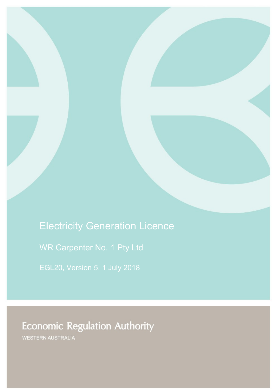# Electricity Generation Licence

WR Carpenter No. 1 Pty Ltd

# **Economic Regulation Authority**

WESTERN AUSTRALIA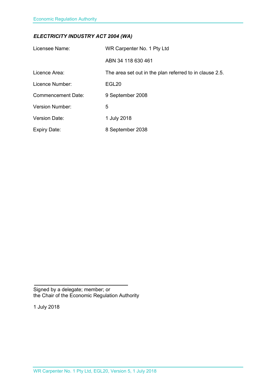### *ELECTRICITY INDUSTRY ACT 2004 (WA)*

| Licensee Name:            | WR Carpenter No. 1 Pty Ltd                              |
|---------------------------|---------------------------------------------------------|
|                           | ABN 34 118 630 461                                      |
| Licence Area:             | The area set out in the plan referred to in clause 2.5. |
| Licence Number:           | EGL <sub>20</sub>                                       |
| <b>Commencement Date:</b> | 9 September 2008                                        |
| <b>Version Number:</b>    | 5                                                       |
| <b>Version Date:</b>      | 1 July 2018                                             |
| <b>Expiry Date:</b>       | 8 September 2038                                        |

Signed by a delegate; member; or the Chair of the Economic Regulation Authority

1 July 2018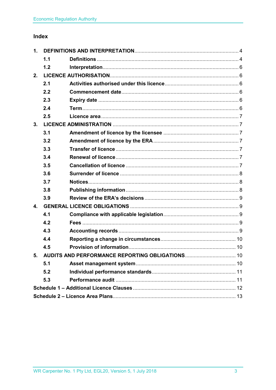### Index

| 1. |     |  |  |
|----|-----|--|--|
|    | 1.1 |  |  |
|    | 1.2 |  |  |
| 2. |     |  |  |
|    | 2.1 |  |  |
|    | 2.2 |  |  |
|    | 2.3 |  |  |
|    | 2.4 |  |  |
|    | 2.5 |  |  |
| 3. |     |  |  |
|    | 3.1 |  |  |
|    | 3.2 |  |  |
|    | 3.3 |  |  |
|    | 3.4 |  |  |
|    | 3.5 |  |  |
|    | 3.6 |  |  |
|    | 3.7 |  |  |
|    | 3.8 |  |  |
|    | 3.9 |  |  |
| 4. |     |  |  |
|    | 4.1 |  |  |
|    | 4.2 |  |  |
|    | 4.3 |  |  |
|    | 4.4 |  |  |
|    | 4.5 |  |  |
| 5. |     |  |  |
|    | 5.1 |  |  |
|    | 5.2 |  |  |
|    | 5.3 |  |  |
|    |     |  |  |
|    |     |  |  |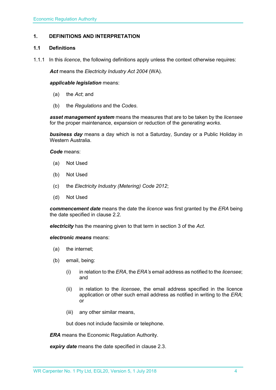#### <span id="page-3-0"></span>**1. DEFINITIONS AND INTERPRETATION**

#### <span id="page-3-1"></span>**1.1 Definitions**

1.1.1 In this *licence*, the following definitions apply unless the context otherwise requires:

*Act* means the *Electricity Industry Act 2004* (WA).

#### *applicable legislation* means:

- (a) the *Act*; and
- (b) the *Regulations* and the *Codes*.

*asset management system* means the measures that are to be taken by the *licensee* for the proper maintenance, expansion or reduction of the *generating works*.

*business day* means a day which is not a Saturday, Sunday or a Public Holiday in Western Australia.

*Code* means:

- (a) Not Used
- (b) Not Used
- (c) the *Electricity Industry (Metering) Code 2012*;
- (d) Not Used

*commencement date* means the date the *licence* was first granted by the *ERA* being the date specified in clause 2.2.

*electricity* has the meaning given to that term in section 3 of the *Act*.

*electronic means* means:

- (a) the internet;
- (b) email, being:
	- (i) in relation to the *ERA*, the *ERA's* email address as notified to the *licensee*; and
	- (ii) in relation to the *licensee*, the email address specified in the licence application or other such email address as notified in writing to the *ERA*; or
	- (iii) any other similar means,

but does not include facsimile or telephone.

*ERA* means the Economic Regulation Authority.

*expiry date* means the date specified in clause 2.3.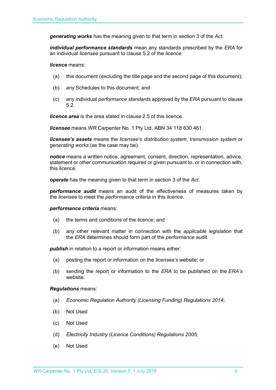*generating works* has the meaning given to that term in section 3 of the *Act.*

*individual performance standards* mean any standards prescribed by the *ERA* for an individual *licensee* pursuant to clause 5.2 of the *licence*.

*licence* means:

- (a) this document (excluding the title page and the second page of this document);
- (b) any Schedules to this document; and
- (c) any individual *performance standards* approved by the *ERA* pursuant to clause 5.2.

*licence area* is the area stated in clause 2.5 of this licence.

*licensee* means WR Carpenter No. 1 Pty Ltd, ABN 34 118 630 461.

*licensee's assets* means the *licensee*'s *distribution system*, *transmission system* or *generating works* (as the case may be).

*notice* means a written notice, agreement, consent, direction, representation, advice, statement or other communication required or given pursuant to, or in connection with, this *licence*.

*operate* has the meaning given to that term in section 3 of the *Act*.

*performance audit* means an audit of the effectiveness of measures taken by the *licensee* to meet the *performance criteria* in this *licence*.

#### *performance criteria* means:

- (a) the terms and conditions of the *licence*; and
- (b) any other relevant matter in connection with the *applicable legislation* that the *ERA* determines should form part of the *performance audit*.

**publish** in relation to a report or information means either:

- (a) posting the report or information on the *licensee's* website; or
- (b) sending the report or information to the *ERA* to be published on the *ERA's* website.

#### *Regulations* means:

- (a) *Economic Regulation Authority (Licensing Funding) Regulations 2014*;
- (b) Not Used
- (c) Not Used
- (d) *Electricity Industry (Licence Conditions) Regulations 2005*;
- (e) Not Used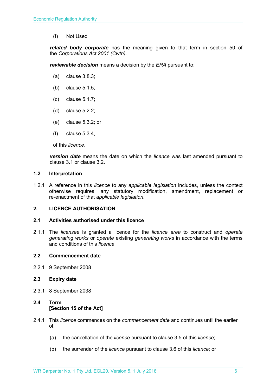(f) Not Used

*related body corporate* has the meaning given to that term in section 50 of the *Corporations Act 2001 (Cwth)*.

*reviewable decision* means a decision by the *ERA* pursuant to:

- (a) clause 3.8.3;
- (b) clause 5.1.5;
- (c) clause 5.1.7;
- (d) clause 5.2.2;
- (e) clause 5.3.2; or
- (f) clause 5.3.4,

of this *licence*.

*version date* means the date on which the *licence* was last amended pursuant to clause 3.1 or clause 3.2.

#### <span id="page-5-0"></span>**1.2 Interpretation**

1.2.1 A reference in this *licence* to any *applicable legislation* includes, unless the context otherwise requires, any statutory modification, amendment, replacement or re-enactment of that *applicable legislation*.

#### <span id="page-5-1"></span>**2. LICENCE AUTHORISATION**

#### <span id="page-5-2"></span>**2.1 Activities authorised under this licence**

2.1.1 The *licensee* is granted a licence for the *licence area* to construct and *operate generating works* or *operate* existing *generating works* in accordance with the terms and conditions of this *licence*.

#### <span id="page-5-3"></span>**2.2 Commencement date**

2.2.1 9 September 2008

#### <span id="page-5-4"></span>**2.3 Expiry date**

2.3.1 8 September 2038

### <span id="page-5-5"></span>**2.4 Term [Section 15 of the Act]**

- 2.4.1 This *licence* commences on the *commencement date* and continues until the earlier of:
	- (a) the cancellation of the *licence* pursuant to clause 3.5 of this *licence*;
	- (b) the surrender of the *licence* pursuant to clause 3.6 of this *licence*; or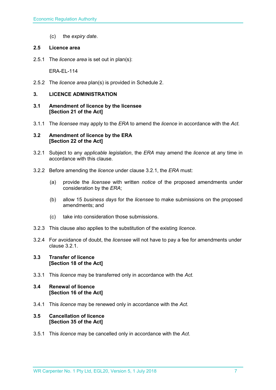(c) the *expiry date*.

#### <span id="page-6-0"></span>**2.5 Licence area**

2.5.1 The *licence area* is set out in plan(s):

ERA-EL-114

2.5.2 The *licence area* plan(s) is provided in Schedule 2.

#### <span id="page-6-1"></span>**3. LICENCE ADMINISTRATION**

- <span id="page-6-2"></span>**3.1 Amendment of licence by the licensee [Section 21 of the Act]**
- 3.1.1 The *licensee* may apply to the *ERA* to amend the *licence* in accordance with the *Act.*

#### <span id="page-6-3"></span>**3.2 Amendment of licence by the ERA [Section 22 of the Act]**

- 3.2.1 Subject to any *applicable legislation*, the *ERA* may amend the *licence* at any time in accordance with this clause.
- 3.2.2 Before amending the *licence* under clause 3.2.1, the *ERA* must:
	- (a) provide the *licensee* with written *notice* of the proposed amendments under consideration by the *ERA*;
	- (b) allow 15 *business days* for the *licensee* to make submissions on the proposed amendments; and
	- (c) take into consideration those submissions.
- 3.2.3 This clause also applies to the substitution of the existing *licence*.
- 3.2.4 For avoidance of doubt, the *licensee* will not have to pay a fee for amendments under clause 3.2.1.

#### <span id="page-6-4"></span>**3.3 Transfer of licence [Section 18 of the Act]**

3.3.1 This *licence* may be transferred only in accordance with the *Act.*

#### <span id="page-6-5"></span>**3.4 Renewal of licence [Section 16 of the Act]**

3.4.1 This *licence* may be renewed only in accordance with the *Act*.

#### <span id="page-6-6"></span>**3.5 Cancellation of licence [Section 35 of the Act]**

3.5.1 This *licence* may be cancelled only in accordance with the *Act*.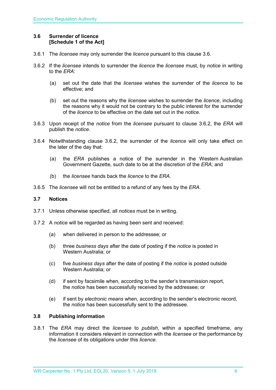#### <span id="page-7-0"></span>**3.6 Surrender of licence [Schedule 1 of the Act]**

- 3.6.1 The *licensee* may only surrender the *licence* pursuant to this clause 3.6.
- 3.6.2 If the *licensee* intends to surrender the *licence* the *licensee* must, by *notice* in writing to the *ERA*:
	- (a) set out the date that the *licensee* wishes the surrender of the *licence* to be effective; and
	- (b) set out the reasons why the *licensee* wishes to surrender the *licence*, including the reasons why it would not be contrary to the public interest for the surrender of the *licence* to be effective on the date set out in the *notice*.
- 3.6.3 Upon receipt of the *notice* from the *licensee* pursuant to clause 3.6.2, the *ERA* will publish the *notice*.
- 3.6.4 Notwithstanding clause 3.6.2, the surrender of the *licence* will only take effect on the later of the day that:
	- (a) the *ERA* publishes a notice of the surrender in the Western Australian Government Gazette, such date to be at the discretion of the *ERA*; and
	- (b) the *licensee* hands back the *licence* to the *ERA*.
- 3.6.5 The *licensee* will not be entitled to a refund of any fees by the *ERA*.

#### <span id="page-7-1"></span>**3.7 Notices**

- 3.7.1 Unless otherwise specified, all *notices* must be in writing.
- 3.7.2 A *notice* will be regarded as having been sent and received:
	- (a) when delivered in person to the addressee; or
	- (b) three *business days* after the date of posting if the *notice* is posted in Western Australia; or
	- (c) five *business days* after the date of posting if the *notice* is posted outside Western Australia; or
	- (d) if sent by facsimile when, according to the sender's transmission report, the *notice* has been successfully received by the addressee; or
	- (e) if sent by *electronic means* when, according to the sender's electronic record, the *notice* has been successfully sent to the addressee.

#### <span id="page-7-2"></span>**3.8 Publishing information**

3.8.1 The *ERA* may direct the *licensee* to *publish*, within a specified timeframe, any information it considers relevant in connection with the *licensee* or the performance by the *licensee* of its obligations under this *licence*.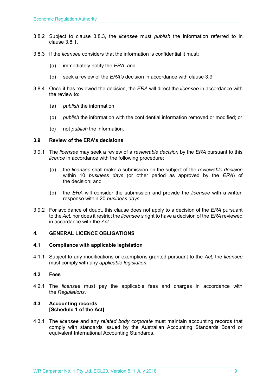- 3.8.2 Subject to clause 3.8.3, the *licensee* must *publish* the information referred to in clause 3.8.1.
- 3.8.3 If the *licensee* considers that the information is confidential it must:
	- (a) immediately notify the *ERA*; and
	- (b) seek a review of the *ERA's* decision in accordance with clause 3.9.
- 3.8.4 Once it has reviewed the decision, the *ERA* will direct the *licensee* in accordance with the review to:
	- (a) *publish* the information;
	- (b) *publish* the information with the confidential information removed or modified; or
	- (c) not *publish* the information.

#### <span id="page-8-0"></span>**3.9 Review of the ERA's decisions**

- 3.9.1 The *licensee* may seek a review of a *reviewable decision* by the *ERA* pursuant to this *licence* in accordance with the following procedure:
	- (a) the *licensee* shall make a submission on the subject of the *reviewable decision* within 10 *business days* (or other period as approved by the *ERA*) of the decision; and
	- (b) the *ERA* will consider the submission and provide the *licensee* with a written response within 20 *business days*.
- 3.9.2 For avoidance of doubt, this clause does not apply to a decision of the *ERA* pursuant to the *Act*, nor does it restrict the *licensee's* right to have a decision of the *ERA* reviewed in accordance with the *Act*.

#### <span id="page-8-1"></span>**4. GENERAL LICENCE OBLIGATIONS**

#### <span id="page-8-2"></span>**4.1 Compliance with applicable legislation**

4.1.1 Subject to any modifications or exemptions granted pursuant to the *Act*, the *licensee* must comply with any *applicable legislation*.

#### <span id="page-8-3"></span>**4.2 Fees**

4.2.1 The *licensee* must pay the applicable fees and charges in accordance with the *Regulations*.

#### <span id="page-8-4"></span>**4.3 Accounting records [Schedule 1 of the Act]**

4.3.1 The *licensee* and any *related body corporate* must maintain accounting records that comply with standards issued by the Australian Accounting Standards Board or equivalent International Accounting Standards.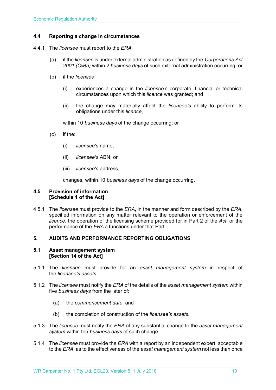#### <span id="page-9-0"></span>**4.4 Reporting a change in circumstances**

- 4.4.1 The *licensee* must report to the *ERA*:
	- (a) if the *licensee* is under external administration as defined by the *Corporations Act 2001 (Cwth)* within 2 *business days* of such external administration occurring; or
	- (b) if the *licensee*:
		- (i) experiences a change in the *licensee's* corporate, financial or technical circumstances upon which this *licence* was granted; and
		- (ii) the change may materially affect the *licensee's* ability to perform its obligations under this *licence*,

within 10 *business days* of the change occurring; or

- (c) if the:
	- (i) *licensee's* name;
	- (ii) *licensee's* ABN; or
	- (iii) *licensee's* address,

changes, within 10 *business days* of the change occurring.

#### <span id="page-9-1"></span>**4.5 Provision of information [Schedule 1 of the Act]**

4.5.1 The *licensee* must provide to the *ERA*, in the manner and form described by the *ERA*, specified information on any matter relevant to the operation or enforcement of the *licence*, the operation of the licensing scheme provided for in Part 2 of the *Act*, or the performance of the *ERA's* functions under that Part.

#### <span id="page-9-2"></span>**5. AUDITS AND PERFORMANCE REPORTING OBLIGATIONS**

#### <span id="page-9-3"></span>**5.1 Asset management system [Section 14 of the Act]**

- 5.1.1 The *licensee* must provide for an *asset management system* in respect of the *licensee's assets*.
- 5.1.2 The *licensee* must notify the *ERA* of the details of the *asset management system* within five *business days* from the later of:
	- (a) the *commencement date*; and
	- (b) the completion of construction of the *licensee's assets*.
- 5.1.3 The *licensee* must notify the *ERA* of any substantial change to the *asset management system* within ten *business days* of such change.
- 5.1.4 The *licensee* must provide the *ERA* with a report by an independent expert, acceptable to the *ERA*, as to the effectiveness of the *asset management system* not less than once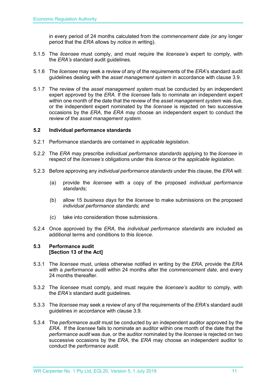in every period of 24 months calculated from the *commencement date (*or any longer period that the *ERA* allows by *notice* in writing).

- 5.1.5 The *licensee* must comply, and must require the *licensee's* expert to comply, with the *ERA's* standard audit guidelines.
- 5.1.6 The *licensee* may seek a review of any of the requirements of the *ERA*'s standard audit guidelines dealing with the *asset management system* in accordance with clause 3.9.
- 5.1.7 The review of the *asset management system* must be conducted by an independent expert approved by the *ERA*. If the *licensee* fails to nominate an independent expert within one month of the date that the review of the *asset management system* was due, or the independent expert nominated by the *licensee* is rejected on two successive occasions by the *ERA*, the *ERA* may choose an independent expert to conduct the review of the *asset management system*.

#### <span id="page-10-0"></span>**5.2 Individual performance standards**

- 5.2.1 Performance standards are contained in *applicable legislation*.
- 5.2.2 The *ERA* may prescribe *individual performance standards* applying to the *licensee* in respect of the *licensee's* obligations under this *licence* or the *applicable legislation*.
- 5.2.3 Before approving any *individual performance standards* under this clause, the *ERA* will:
	- (a) provide the *licensee* with a copy of the proposed *individual performance standards*;
	- (b) allow 15 *business days* for the *licensee* to make submissions on the proposed *individual performance standards*; and
	- (c) take into consideration those submissions.
- 5.2.4 Once approved by the *ERA*, the *individual performance standards* are included as additional terms and conditions to this *licence*.

#### <span id="page-10-1"></span>**5.3 Performance audit [Section 13 of the Act]**

- 5.3.1 The *licensee* must, unless otherwise notified in writing by the *ERA*, provide the *ERA* with a *performance audit* within 24 months after the *commencement date*, and every 24 months thereafter.
- 5.3.2 The *licensee* must comply, and must require the *licensee's* auditor to comply, with the *ERA's* standard audit guidelines.
- 5.3.3 The *licensee* may seek a review of any of the requirements of the *ERA*'s standard audit guidelines in accordance with clause 3.9.
- 5.3.4 The *performance audit* must be conducted by an independent auditor approved by the *ERA*. If the *licensee* fails to nominate an auditor within one month of the date that the *performance audit* was due, or the auditor nominated by the *licensee* is rejected on two successive occasions by the *ERA*, the *ERA* may choose an independent auditor to conduct the *performance audit*.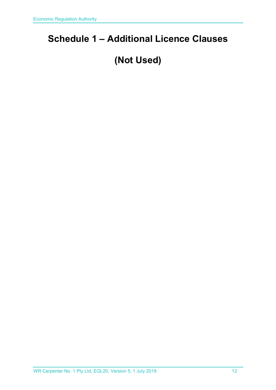## <span id="page-11-0"></span>**Schedule 1 – Additional Licence Clauses**

# **(Not Used)**

WR Carpenter No. 1 Pty Ltd, EGL20, Version 5, 1 July 2018 12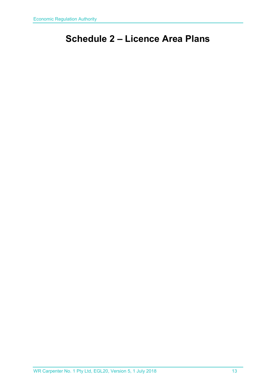## <span id="page-12-0"></span>**Schedule 2 – Licence Area Plans**